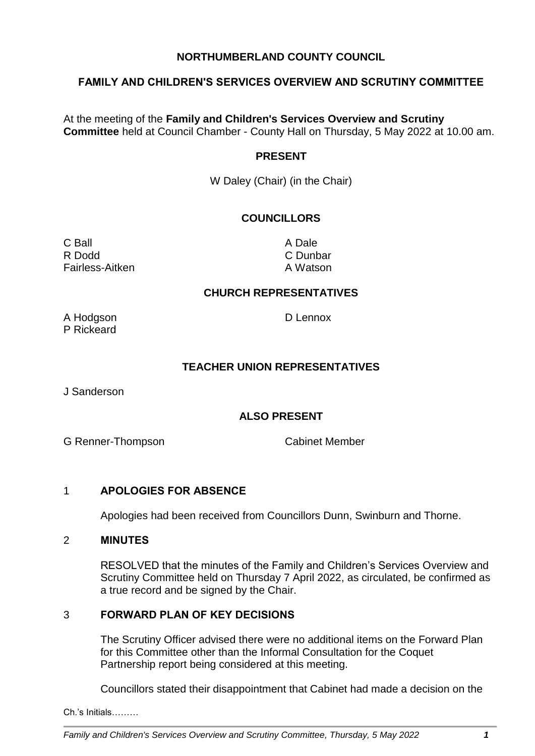# **NORTHUMBERLAND COUNTY COUNCIL**

# **FAMILY AND CHILDREN'S SERVICES OVERVIEW AND SCRUTINY COMMITTEE**

At the meeting of the **Family and Children's Services Overview and Scrutiny Committee** held at Council Chamber - County Hall on Thursday, 5 May 2022 at 10.00 am.

#### **PRESENT**

W Daley (Chair) (in the Chair)

# **COUNCILLORS**

C Ball **C** Ball **A** Dale R Dodd C Dunbar Fairless-Aitken A Watson

#### **CHURCH REPRESENTATIVES**

A Hodgson D Lennox P Rickeard

#### **TEACHER UNION REPRESENTATIVES**

J Sanderson

#### **ALSO PRESENT**

G Renner-Thompson Cabinet Member

#### 1 **APOLOGIES FOR ABSENCE**

Apologies had been received from Councillors Dunn, Swinburn and Thorne.

#### 2 **MINUTES**

RESOLVED that the minutes of the Family and Children's Services Overview and Scrutiny Committee held on Thursday 7 April 2022, as circulated, be confirmed as a true record and be signed by the Chair.

### 3 **FORWARD PLAN OF KEY DECISIONS**

The Scrutiny Officer advised there were no additional items on the Forward Plan for this Committee other than the Informal Consultation for the Coquet Partnership report being considered at this meeting.

Councillors stated their disappointment that Cabinet had made a decision on the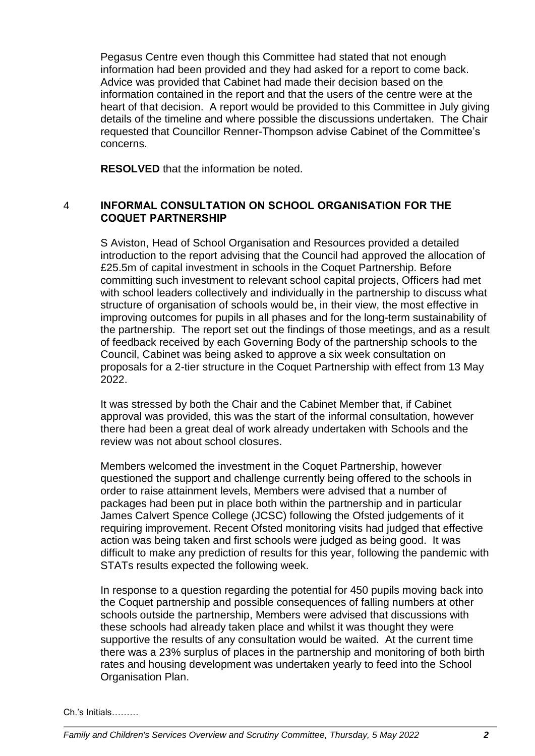Pegasus Centre even though this Committee had stated that not enough information had been provided and they had asked for a report to come back. Advice was provided that Cabinet had made their decision based on the information contained in the report and that the users of the centre were at the heart of that decision. A report would be provided to this Committee in July giving details of the timeline and where possible the discussions undertaken. The Chair requested that Councillor Renner-Thompson advise Cabinet of the Committee's concerns.

**RESOLVED** that the information be noted.

# 4 **INFORMAL CONSULTATION ON SCHOOL ORGANISATION FOR THE COQUET PARTNERSHIP**

S Aviston, Head of School Organisation and Resources provided a detailed introduction to the report advising that the Council had approved the allocation of £25.5m of capital investment in schools in the Coquet Partnership. Before committing such investment to relevant school capital projects, Officers had met with school leaders collectively and individually in the partnership to discuss what structure of organisation of schools would be, in their view, the most effective in improving outcomes for pupils in all phases and for the long-term sustainability of the partnership. The report set out the findings of those meetings, and as a result of feedback received by each Governing Body of the partnership schools to the Council, Cabinet was being asked to approve a six week consultation on proposals for a 2-tier structure in the Coquet Partnership with effect from 13 May 2022.

It was stressed by both the Chair and the Cabinet Member that, if Cabinet approval was provided, this was the start of the informal consultation, however there had been a great deal of work already undertaken with Schools and the review was not about school closures.

Members welcomed the investment in the Coquet Partnership, however questioned the support and challenge currently being offered to the schools in order to raise attainment levels, Members were advised that a number of packages had been put in place both within the partnership and in particular James Calvert Spence College (JCSC) following the Ofsted judgements of it requiring improvement. Recent Ofsted monitoring visits had judged that effective action was being taken and first schools were judged as being good. It was difficult to make any prediction of results for this year, following the pandemic with STATs results expected the following week.

In response to a question regarding the potential for 450 pupils moving back into the Coquet partnership and possible consequences of falling numbers at other schools outside the partnership, Members were advised that discussions with these schools had already taken place and whilst it was thought they were supportive the results of any consultation would be waited. At the current time there was a 23% surplus of places in the partnership and monitoring of both birth rates and housing development was undertaken yearly to feed into the School Organisation Plan.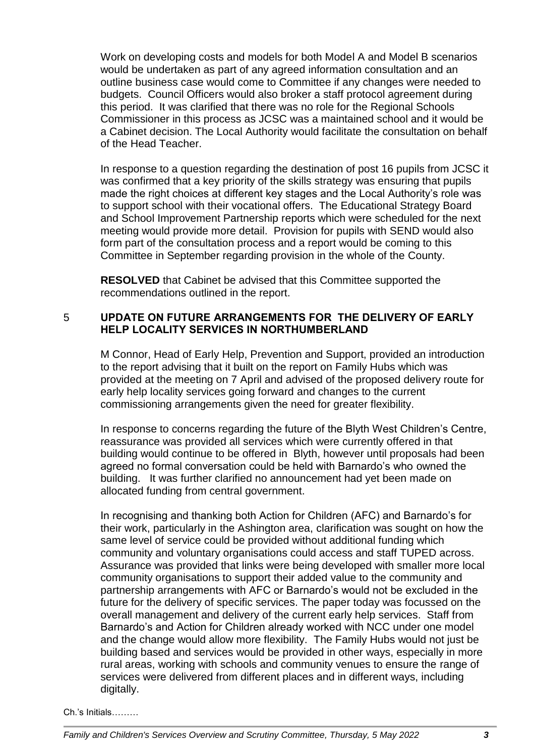Work on developing costs and models for both Model A and Model B scenarios would be undertaken as part of any agreed information consultation and an outline business case would come to Committee if any changes were needed to budgets. Council Officers would also broker a staff protocol agreement during this period. It was clarified that there was no role for the Regional Schools Commissioner in this process as JCSC was a maintained school and it would be a Cabinet decision. The Local Authority would facilitate the consultation on behalf of the Head Teacher.

In response to a question regarding the destination of post 16 pupils from JCSC it was confirmed that a key priority of the skills strategy was ensuring that pupils made the right choices at different key stages and the Local Authority's role was to support school with their vocational offers. The Educational Strategy Board and School Improvement Partnership reports which were scheduled for the next meeting would provide more detail. Provision for pupils with SEND would also form part of the consultation process and a report would be coming to this Committee in September regarding provision in the whole of the County.

**RESOLVED** that Cabinet be advised that this Committee supported the recommendations outlined in the report.

# 5 **UPDATE ON FUTURE ARRANGEMENTS FOR THE DELIVERY OF EARLY HELP LOCALITY SERVICES IN NORTHUMBERLAND**

M Connor, Head of Early Help, Prevention and Support, provided an introduction to the report advising that it built on the report on Family Hubs which was provided at the meeting on 7 April and advised of the proposed delivery route for early help locality services going forward and changes to the current commissioning arrangements given the need for greater flexibility.

In response to concerns regarding the future of the Blyth West Children's Centre, reassurance was provided all services which were currently offered in that building would continue to be offered in Blyth, however until proposals had been agreed no formal conversation could be held with Barnardo's who owned the building. It was further clarified no announcement had yet been made on allocated funding from central government.

In recognising and thanking both Action for Children (AFC) and Barnardo's for their work, particularly in the Ashington area, clarification was sought on how the same level of service could be provided without additional funding which community and voluntary organisations could access and staff TUPED across. Assurance was provided that links were being developed with smaller more local community organisations to support their added value to the community and partnership arrangements with AFC or Barnardo's would not be excluded in the future for the delivery of specific services. The paper today was focussed on the overall management and delivery of the current early help services. Staff from Barnardo's and Action for Children already worked with NCC under one model and the change would allow more flexibility. The Family Hubs would not just be building based and services would be provided in other ways, especially in more rural areas, working with schools and community venues to ensure the range of services were delivered from different places and in different ways, including digitally.